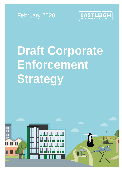



# **Draft Corporate Enforcement Strategy**

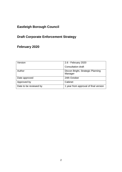# **Eastleigh Borough Council**

# **Draft Corporate Enforcement Strategy**

# **February 2020**

| Version                | 2.6 - February 2020                          |
|------------------------|----------------------------------------------|
|                        | <b>Consultation draft</b>                    |
| Author                 | Diccon Bright, Strategic Planning<br>Manager |
| Date approved          | 24th October                                 |
| Approved by            | Cabinet                                      |
| Date to be reviewed by | 1 year from approval of final version        |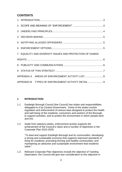# **CONTENTS**

|                                                   | 7 EQUALITY AND DIVERSITY ISSUES AND PROTECTION OF HUMAN |  |
|---------------------------------------------------|---------------------------------------------------------|--|
|                                                   |                                                         |  |
|                                                   |                                                         |  |
|                                                   |                                                         |  |
|                                                   |                                                         |  |
| APPENDIX B TYPES OF ENFORCEMENT ACTIVITY DETAIL 9 |                                                         |  |

# <span id="page-2-0"></span>**1 INTRODUCTION**

- 1.1 Eastleigh Borough Council (the Council) has duties and responsibilities delegated to it by Central Government. Some of the duties involve regulation and enforcement of various laws designed to protect the health and well being of the residents, consumers and workers of the Borough, to support activities, and to protect the environment in which people work and live.
- 1.2 Aside from statutory duties, enforcement activity supports the achievement of the Council's vision and a number of objectives in the Corporate Plan 2015-2025:

"*To lead and support Eastleigh Borough and its communities: developing a strong and sustainable economy that supports improved standards of living for residents; promoting thriving and healthy communities; and maintaining an attractive and sustainable environment that residents value*."

1.3 Relevant Corporate Plan objectives include the objective of Tackling Deprivation; the Council will give due consideration to this objective in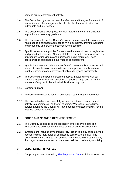carrying out its enforcement activity.

- 1.4 The Council recognises the need for effective and timely enforcement of legislation and also recognises the effects of enforcement action on individuals and businesses.
- 1.5 This document has been prepared with regard to the current principal legislation and statutory guidance.
- 1.6 This Strategy sets out the Council's overarching approach to enforcement which seeks a balanced approach to minimise harms, promote wellbeing and prosperity and prevent breaches where possible.
- 1.7 Specific enforcement policies for each service area will set out legislative and procedural details for Council staff to follow and provide guidance as appropriate for individuals and businesses being regulated. These policies will be published on our website as appropriate.
- 1.8 By this document and relevant specific enforcement policies the Council intends to enable enforcement officers to interpret and apply relevant legal requirements and enforcement policies fairly and consistently.
- 1.9 The Council undertakes enforcement activity in accordance with our statutory responsibilities on behalf of the public at large and not in the interests of any particular individual, business or group.

## 1.10 **Commercialism**

- 1.11 The Council will seek to recover any costs it can through enforcement.
- 1.12 The Council will consider carefully options to outsource enforcement activity to a commercial partner at this time. Where the Council uses outside agencies the Council will retain control and accountability for the way the service is delivered.

# <span id="page-3-0"></span>**2 SCOPE AND MEANING OF 'ENFORCEMENT'**

- 2.1 This Strategy applies to all the legislation enforced by officers of all regulatory and enforcement services of Eastleigh Borough Council.
- 2.2 'Enforcement' includes any criminal or civil action taken by officers aimed at ensuring that individuals or businesses comply with the law. The Council will ensure that its own enforcement officers interpret and apply their legal requirements and enforcement policies consistently and fairly.

# <span id="page-3-1"></span>**3 UNDERLYING PRINCIPLES**

3.1 Our principles are informed by The [Regulators'](https://www.gov.uk/government/publications/regulators-code) Code which took effect on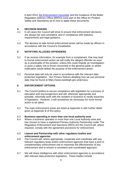6 April 2014, the [Enforcement](https://publications.parliament.uk/pa/ld199899/ldselect/lddereg/111/11107.htm) Concordat, and the Guidance of the Better Regulation Delivery Office (BRDO) (now part of the Office for Product Safety and Standards) as to how to apply these documents.

# <span id="page-4-0"></span>**4 DECISION MAKING**

- In all cases the Council will strive to ensure that enforcement decisions are always fair and consistent, and in compliance with statutory requirements and legal guidance.
- 4.2 The decision to take formal enforcement action will be made by officers in accordance with the Council's Constitution.

# <span id="page-4-1"></span>**5 NOTIFYING ALLEGED OFFENDERS**

- 5.1 If we receive information, for example from a complainant, that may lead to formal enforcement action we will notify the alleged offender as soon as is practicable of the position, unless this could impede an investigation or pose a safety risk to those concerned or the general public or where notification would defeat the purpose of the enforcement action.
- 5.2 Personal data will only be used in accordance with the relevant data protection legislation. Our Privacy Notices detailing how we use personal data may be found at [https://www.eastleigh.gov.uk/privacy.](https://www.eastleigh.gov.uk/privacy)

# <span id="page-4-2"></span>**6 ENFORCEMENT OPTIONS**

- 6.1 The Council prefers to secure compliance with legislation by a process of education and encouragement and will, wherever appropriate and possible, informally work with the resident or business to rectify breaches of legislation. However, it will sometimes be necessary for more formal action to be taken.
- 6.2 The main enforcement areas are listed at Appendix A with further detail given at Appendix B of this policy.
- 6.3 **Business operating in more than one local authority area**
- 6.4 Where a business operates in more than one Local Authority area and has chosen to have a registered Primary Authority Partnership under The Regulatory Enforcement and Sanctions (RES) Act the Council will, where required, comply with the agreement provisions for enforcement.

## 6.5 **Liaison and Partnership with other regulatory bodies and enforcement agencies**

- 6.6 The Council will, where appropriate, cooperate and coordinate with any relevant regulatory body and/or enforcement agencies that have a joint or complementary enforcement role to maximise the effectiveness of any enforcement and to ensure a consistent and coordinated approach.
- 6.7 We will share intelligence with other enforcement agencies in accordance with relevant data protection legislation. These bodies include -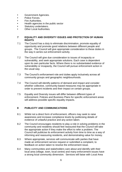- **•** Government Agencies.
- **•** Police Forces.
- **•** Fire Authorities.
- **•** Health agencies in the public sector
- **•** Statutory undertakers.
- **•** Other Local Authorities.

# <span id="page-5-0"></span>**7 EQUALITY AND DIVERSITY ISSUES AND PROTECTION OF HUMAN RIGHTS**

- 7.1 The Council has a duty to eliminate discrimination, promote equality of opportunity and promote good relations between different people and groups. The Council will give appropriate consideration to these duties in the way it carries out enforcement activity.
- 7.2 The Council will give due consideration to issues of incapacity or vulnerability, and seek appropriate solutions. Each case is dependent upon its own particular facts. Where there is no substantiated evidence of vulnerability or incapacity, the Council will pursue enforcement action in the usual way.
- 7.3 The Council's enforcement role and duties apply inclusively across all community groups and geographic neighbourhoods.
- 7.4 The Council will identify patterns of demand and impact and consider whether collective, community-based measures may be appropriate in order to prevent incidents and their impact on certain groups.
- 7.5 Equality and Diversity issues will differ between different types of enforcement. Policies and Business Plans for specific enforcement areas will address possible specific equality impacts.

# <span id="page-5-1"></span>**8 PUBLICITY AND COMMUNICATIONS**

- 8.1 Whilst not a direct form of enforcement, officers may seek to raise awareness and increase compliance levels by publicising details of evidence of unlawful practice and any action taken.
- 8.2 The Council encourages residents to play a role in solving problems in the community and residents should feel reassured that the Council will take the appropriate action if they make the effort to refer a problem. The Council will publicise its enforcement activity from time to time as a way of informing and reassuring residents, and demonstrating value for money.
- 8.3 Where appropriate, services will communicate with parties that have made an enforcement service request or submitted a complaint, to feedback on action taken to resolve the enforcement issue.
- 8.4 Many communities and stakeholders care about and identify with their local area (village, town, local centre) and many enforcement issues have a strong local community dimension. Services will liaise with Local Area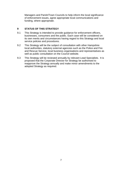Managers and Parish/Town Councils to help inform the local significance of enforcement issues, agree appropriate local communications and funding, where appropriate.

# <span id="page-6-0"></span>**9 STATUS OF THIS STRATEGY**

- 9.1 This Strategy is intended to provide guidance for enforcement officers, businesses, consumers and the public. Each case will be considered on its own merits and circumstances having regard to this Strategy and local service policies and procedures.
- 9.2 This Strategy will be the subject of consultation with other Hampshire local authorities, statutory external agencies such as the Police and Fire and Rescue Service, local business organisations and representatives as well as public consultation on the Council website.
- 9.3 This Strategy will be reviewed annually by relevant Lead Specialists. It is proposed that the Corporate Director for Strategy be authorised to reapprove the Strategy annually and make minor amendments to the adopted Strategy as required.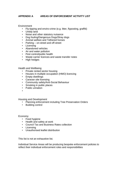# <span id="page-7-0"></span>**APPENDIX A AREAS OF ENFORCEMENT ACTIVITY LIST**

**Environment** 

- Fly-tipping and enviro-crime (e.g. litter, flyposting, graffiti)
- Untidy land<br>• Noise and o
- Noise and other statutory nuisance
- Dog fouling/Dangerous Dogs/Stray dogs
- Animal welfare and Tethered horses
- Parking on-street and off-street
- Licensing
- Abandoned vehicles
- Air and water pollution
- Pest control/public health
- Waste carrier licences and waste transfer notes
- High hedges

Health and Wellbeing

- Private rented sector housing
- Houses in multiple occupation (HMO) licencing
- Empty dwellings
- Caravan site licensing
- Community safety/Anti-Social Behaviour
- Smoking in public places
- Public urination
- •

Housing and Development

- Planning enforcement including Tree Preservation Orders
- Building control

Economy

- Food hygiene
- Health and safety at work
- Council Tax and Business Rates collection
- Licensing
- Unauthorised leaflet distribution

This list is not an exhaustive list.

Individual Service Areas will be producing bespoke enforcement policies to reflect their individual enforcement roles and responsibilities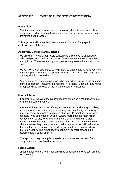# <span id="page-8-0"></span>**APPENDIX B TYPES OF ENFORCEMENT ACTIVITY DETAIL**

#### **Prevention**

The first step in enforcement is to promote good practice, ensure policy compliance and prevent contravention of the law by raising awareness and promoting good practice.

This approach will be applied when we are not aware of any specific contraventions of the law.

#### **Approvals, Consents and Licences**

We provide a range of approvals consents and licences as specified by individual pieces of legislation. Most of these are compulsory, but a few are optional. These are an important part of the preventative aspect of our work.

We will work with applicants to help them to understand what is required to gain approval through pre-application advice, published guidelines, and post- application discussion.

Applicants, or their agents, will always be notified, in writing, of the outcome of their application, including the reasons if rejected. Details of any rights of appeal will be provided at the time the decision is notified.

#### **Informal Action**

If appropriate, we will endeavour to resolve situations without resorting to formal enforcement action.

Informal action may involve offering advice, mediation where appropriate, requests for action, or warnings, or seeking and monitoring the delivery of undertakings or timetabled schedules of action. General advice will not necessarily be confirmed in writing. Where more than the most minor contravention exists, we will confirm the situation in writing in a clear manner and explain why any recommendations are necessary and over what timescale they should be met. When we write we will make sure that legal requirements are clearly distinguished from recommendations. Informal action will be supported throughout by contact between the customer and Council officers.

This approach may be applied provided that the consequences of noncompliance are considered acceptable.

#### **Formal Action**

Circumstances where formal action will be considered include (but are not restricted to):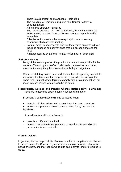- $\sqrt{ }$  There is a significant contravention of legislation
- The wording of legislation requires the Council to take a specified action
- An informal approach has failed
- The consequences of non-compliance, for health, safety, the environment, or other Council priorities, are unacceptable and/or immediate
- **Effective action needs to be taken quickly in order to remedy** conditions which are deteriorating
- Formal action is necessary to achieve the desired outcome without incurring expense or inconvenience that is disproportionate to the risks
- $\overline{A}$  A charge applied by a Fixed Penalty Notice has not been paid

#### **Statutory Notices**

Many of the various pieces of legislation that we enforce provide for the service of "statutory notices" on individuals, businesses and other organisations requiring them to meet specific legal obligations.

Where a "statutory notice" is served, the method of appealing against the notice and the timescale for doing so will be provided in writing at the same time. In most cases, failure to comply with a "statutory notice" will result in more severe formal action being taken.

#### **Fixed Penalty Notices and Penalty Charge Notices (Civil & Criminal)** These are notices that apply a penalty for specific matters.

In general a penalty notice will only be issued when:

- there is sufficient evidence that an offence has been committed
- an FPN is a proportionate response allowed for by the relevant legislation

A penalty notice will not be issued if:

- there is no offence committed
- enforcement action is inappropriate or would be disproportionate
- prosecution is more suitable

#### **Work In Default**

In general, it is the responsibility of others to achieve compliance with the law. In certain cases the Council may undertake work to achieve compliance on behalf of others, and may seek a warrant to gain entry to land or premises to do so.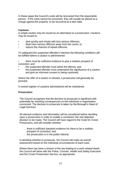In these cases the Council's costs will be recovered from the responsible person. If the costs cannot be recovered, they will usually be placed as a charge against the property, to be recovered at a later date.

# **Cautions**

A simple caution may be issued as an alternative to a prosecution. Cautions may be issued to:

- deal quickly and simply with less serious offences;
- divert less serious offences away from the courts; or
- reduce the chances of repeat offences.

To safeguard the suspected offender's interests the following conditions will be fulfilled before a caution is administered:

- there must be sufficient evidence to give a realistic prospect of conviction; and
- the suspected offender must admit the offence; and
- the suspected offender must understand the significance of a caution and give an informed consent to being cautioned.

Where the offer of a caution is refused, a prosecution will generally be pursued.

A central register of cautions administered will be maintained.

## **Prosecution**

The Council recognises that the decision to prosecute is significant with potentially far reaching consequences on the individual or organisation concerned. The decision to prosecute is taken by the Borough's Head of Legal Services.

All relevant evidence and information will be considered before deciding upon a prosecution in order to enable a consistent, fair and objective decision to be made. The Council will have regard to the Code for Crown Prosecutors, and will consider whether:

- there is sufficient standard evidence for there to be a realistic prospect of conviction; and
- $\cdot$  the prosecution is in the public interest;

In deciding whether to prosecute, the Council will make an overall assessment based on the individual circumstances of each case.

Where there has been a breach of the law leading to a work-related death, the Council will liaise with the Police, Coroner, Health and Safety Executive and the Crown Prosecution Service, as appropriate